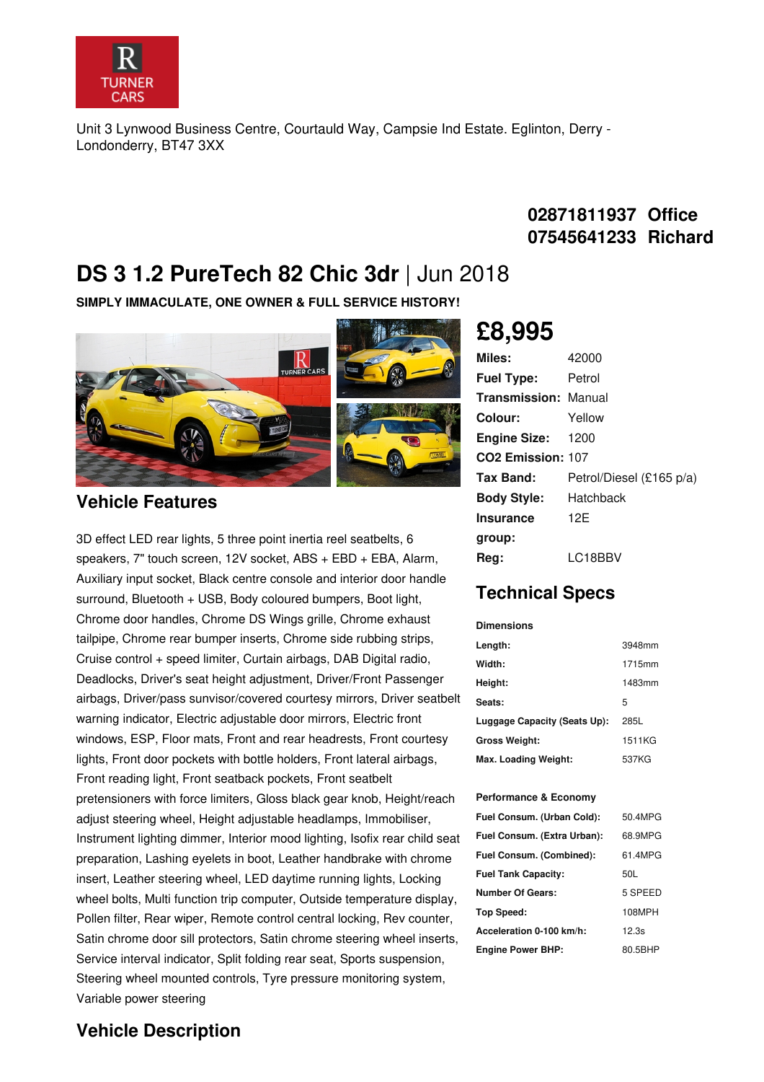

Unit 3 Lynwood Business Centre, Courtauld Way, Campsie Ind Estate. Eglinton, Derry - Londonderry, BT47 3XX

## **02871811937 Office 07545641233 Richard**

# **DS 3 1.2 PureTech 82 Chic 3dr** |Jun 2018

**SIMPLY IMMACULATE, ONE OWNER & FULL SERVICE HISTORY!**



### **Vehicle Features**

3D effect LED rear lights, 5 three point inertia reel seatbelts, 6 speakers, 7" touch screen, 12V socket, ABS + EBD + EBA, Alarm, Auxiliary input socket, Black centre console and interior door handle surround, Bluetooth + USB, Body coloured bumpers, Boot light, Chrome door handles, Chrome DS Wings grille, Chrome exhaust tailpipe, Chrome rear bumper inserts, Chrome side rubbing strips, Cruise control + speed limiter, Curtain airbags, DAB Digital radio, Deadlocks, Driver's seat height adjustment, Driver/Front Passenger airbags, Driver/pass sunvisor/covered courtesy mirrors, Driver seatbelt warning indicator, Electric adjustable door mirrors, Electric front windows, ESP, Floor mats, Front and rear headrests, Front courtesy lights, Front door pockets with bottle holders, Front lateral airbags, Front reading light, Front seatback pockets, Front seatbelt pretensioners with force limiters, Gloss black gear knob, Height/reach adjust steering wheel, Height adjustable headlamps, Immobiliser, Instrument lighting dimmer, Interior mood lighting, Isofix rear child seat preparation, Lashing eyelets in boot, Leather handbrake with chrome insert, Leather steering wheel, LED daytime running lights, Locking wheel bolts, Multi function trip computer, Outside temperature display, Pollen filter, Rear wiper, Remote control central locking, Rev counter, Satin chrome door sill protectors, Satin chrome steering wheel inserts, Service interval indicator, Split folding rear seat, Sports suspension, Steering wheel mounted controls, Tyre pressure monitoring system, Variable power steering

# **£8,995**

| Miles:                        | 42000                    |
|-------------------------------|--------------------------|
| <b>Fuel Type:</b>             | Petrol                   |
| Transmission:                 | Manual                   |
| Colour:                       | Yellow                   |
| <b>Engine Size:</b>           | 1200                     |
| CO <sub>2</sub> Emission: 107 |                          |
| Tax Band:                     | Petrol/Diesel (£165 p/a) |
| <b>Body Style:</b>            | Hatchback                |
| <b>Insurance</b>              | 12F                      |
| group:                        |                          |
| Rea:                          | LC18BBV                  |

## **Technical Specs**

| <b>Dimensions</b>            |        |
|------------------------------|--------|
| Length:                      | 3948mm |
| Width:                       | 1715mm |
| Height:                      | 1483mm |
| Seats:                       | 5      |
| Luggage Capacity (Seats Up): | 285L   |
| Gross Weight:                | 1511KG |
| Max. Loading Weight:         | 537KG  |

#### **Performance & Economy**

| Fuel Consum. (Urban Cold):  | 50.4MPG |
|-----------------------------|---------|
| Fuel Consum. (Extra Urban): | 68.9MPG |
| Fuel Consum. (Combined):    | 61.4MPG |
| <b>Fuel Tank Capacity:</b>  | 50L     |
| Number Of Gears:            | 5 SPEED |
| Top Speed:                  | 108MPH  |
| Acceleration 0-100 km/h:    | 12.3s   |
| <b>Engine Power BHP:</b>    | 80.5BHP |

### **Vehicle Description**